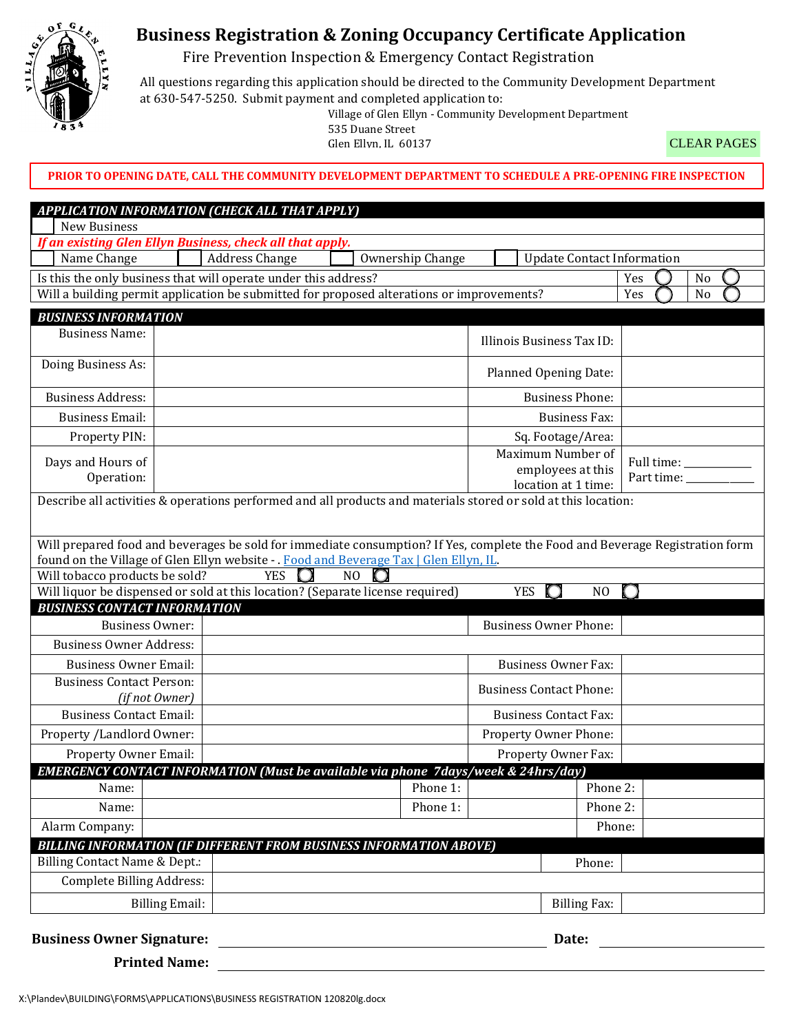

## **Business Registration & Zoning Occupancy Certificate Application**

Fire Prevention Inspection & Emergency Contact Registration

All questions regarding this application should be directed to the Community Development Department at 630-547-5250. Submit payment and completed application to:

Village of Glen Ellyn - Community Development Department

535 Duane Street Glen Ellyn, IL 60137

CLEAR PAGES

**PRIOR TO OPENING DATE, CALL THE COMMUNITY DEVELOPMENT DEPARTMENT TO SCHEDULE A PRE-OPENING FIRE INSPECTION**

| APPLICATION INFORMATION (CHECK ALL THAT APPLY)                                                                               |                       |                              |                                |                     |                                                               |                      |                               |    |  |
|------------------------------------------------------------------------------------------------------------------------------|-----------------------|------------------------------|--------------------------------|---------------------|---------------------------------------------------------------|----------------------|-------------------------------|----|--|
| New Business                                                                                                                 |                       |                              |                                |                     |                                                               |                      |                               |    |  |
| If an existing Glen Ellyn Business, check all that apply.                                                                    |                       |                              |                                |                     |                                                               |                      |                               |    |  |
| <b>Address Change</b><br>Ownership Change<br><b>Update Contact Information</b><br>Name Change                                |                       |                              |                                |                     |                                                               |                      |                               |    |  |
| Is this the only business that will operate under this address?                                                              |                       |                              |                                |                     |                                                               |                      | Yes                           | No |  |
| Will a building permit application be submitted for proposed alterations or improvements?                                    |                       |                              |                                |                     |                                                               | Yes                  | N <sub>o</sub>                |    |  |
| <b>BUSINESS INFORMATION</b>                                                                                                  |                       |                              |                                |                     |                                                               |                      |                               |    |  |
| <b>Business Name:</b>                                                                                                        |                       |                              |                                |                     | Illinois Business Tax ID:                                     |                      |                               |    |  |
| Doing Business As:                                                                                                           |                       |                              |                                |                     | Planned Opening Date:                                         |                      |                               |    |  |
| <b>Business Address:</b>                                                                                                     |                       |                              |                                |                     | <b>Business Phone:</b>                                        |                      |                               |    |  |
| <b>Business Email:</b>                                                                                                       |                       |                              |                                |                     |                                                               | <b>Business Fax:</b> |                               |    |  |
| Property PIN:                                                                                                                |                       |                              |                                |                     | Sq. Footage/Area:                                             |                      |                               |    |  |
| Days and Hours of<br>Operation:                                                                                              |                       |                              |                                |                     | Maximum Number of<br>employees at this<br>location at 1 time: |                      | Full time: ____<br>Part time: |    |  |
| Describe all activities & operations performed and all products and materials stored or sold at this location:               |                       |                              |                                |                     |                                                               |                      |                               |    |  |
| Will prepared food and beverages be sold for immediate consumption? If Yes, complete the Food and Beverage Registration form |                       |                              |                                |                     |                                                               |                      |                               |    |  |
| found on the Village of Glen Ellyn website - . Food and Beverage Tax   Glen Ellyn, IL.                                       |                       |                              |                                |                     |                                                               |                      |                               |    |  |
| Will tobacco products be sold?<br>Will liquor be dispensed or sold at this location? (Separate license required)             |                       | <b>YES</b>                   | NO                             |                     | <b>YES</b>                                                    | N <sub>O</sub>       |                               |    |  |
| <b>BUSINESS CONTACT INFORMATION</b>                                                                                          |                       |                              |                                |                     |                                                               |                      |                               |    |  |
| <b>Business Owner:</b>                                                                                                       |                       | <b>Business Owner Phone:</b> |                                |                     |                                                               |                      |                               |    |  |
| <b>Business Owner Address:</b>                                                                                               |                       |                              |                                |                     |                                                               |                      |                               |    |  |
| <b>Business Owner Email:</b>                                                                                                 |                       | <b>Business Owner Fax:</b>   |                                |                     |                                                               |                      |                               |    |  |
| <b>Business Contact Person:</b>                                                                                              |                       |                              |                                |                     |                                                               |                      |                               |    |  |
| (if not Owner)                                                                                                               |                       |                              | <b>Business Contact Phone:</b> |                     |                                                               |                      |                               |    |  |
| <b>Business Contact Email:</b>                                                                                               |                       |                              | <b>Business Contact Fax:</b>   |                     |                                                               |                      |                               |    |  |
| Property /Landlord Owner:                                                                                                    |                       |                              | Property Owner Phone:          |                     |                                                               |                      |                               |    |  |
|                                                                                                                              | Property Owner Email: |                              |                                | Property Owner Fax: |                                                               |                      |                               |    |  |
| <b>EMERGENCY CONTACT INFORMATION (Must be available via phone 7days/week &amp; 24hrs/day)</b>                                |                       |                              |                                |                     |                                                               |                      |                               |    |  |
| Name:                                                                                                                        |                       |                              |                                | Phone 1:            |                                                               | Phone 2:             |                               |    |  |
| Name:                                                                                                                        |                       |                              |                                | Phone 1:            |                                                               | Phone 2:             |                               |    |  |
| Alarm Company:                                                                                                               |                       |                              |                                |                     |                                                               | Phone:               |                               |    |  |
| <b>BILLING INFORMATION (IF DIFFERENT FROM BUSINESS INFORMATION ABOVE)</b>                                                    |                       |                              |                                |                     |                                                               |                      |                               |    |  |
| <b>Billing Contact Name &amp; Dept.:</b><br>Phone:                                                                           |                       |                              |                                |                     |                                                               |                      |                               |    |  |
| <b>Complete Billing Address:</b>                                                                                             |                       |                              |                                |                     |                                                               |                      |                               |    |  |
| <b>Billing Email:</b>                                                                                                        |                       |                              |                                | <b>Billing Fax:</b> |                                                               |                      |                               |    |  |
| <b>Business Owner Signature:</b><br>Date:                                                                                    |                       |                              |                                |                     |                                                               |                      |                               |    |  |

 **Printed Name:**